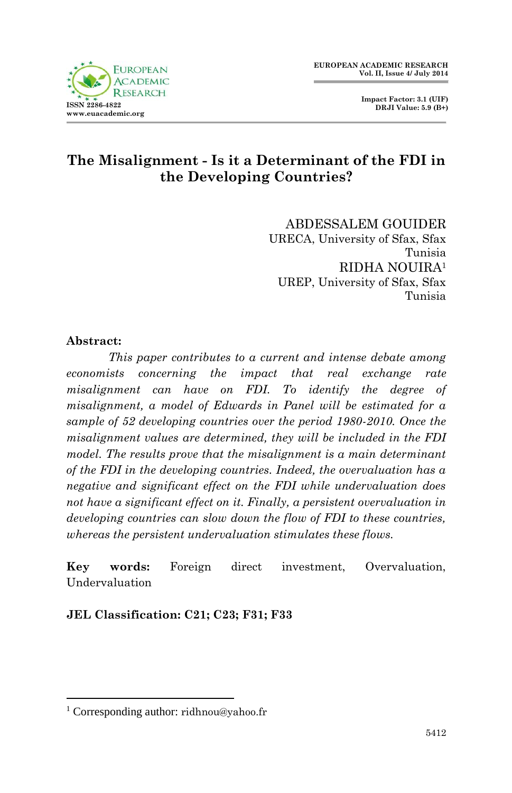

# **The Misalignment - Is it a Determinant of the FDI in the Developing Countries?**

ABDESSALEM GOUIDER URECA, University of Sfax, Sfax Tunisia RIDHA NOUIRA<sup>1</sup> UREP, University of Sfax, Sfax Tunisia

### **Abstract:**

**.** 

*This paper contributes to a current and intense debate among economists concerning the impact that real exchange rate misalignment can have on FDI. To identify the degree of misalignment, a model of Edwards in Panel will be estimated for a sample of 52 developing countries over the period 1980-2010. Once the misalignment values are determined, they will be included in the FDI model. The results prove that the misalignment is a main determinant of the FDI in the developing countries. Indeed, the overvaluation has a negative and significant effect on the FDI while undervaluation does not have a significant effect on it. Finally, a persistent overvaluation in developing countries can slow down the flow of FDI to these countries, whereas the persistent undervaluation stimulates these flows.*

**Key words:** Foreign direct investment, Overvaluation, Undervaluation

**JEL Classification: C21; C23; F31; F33**

<sup>1</sup> Corresponding author: ridhnou@yahoo.fr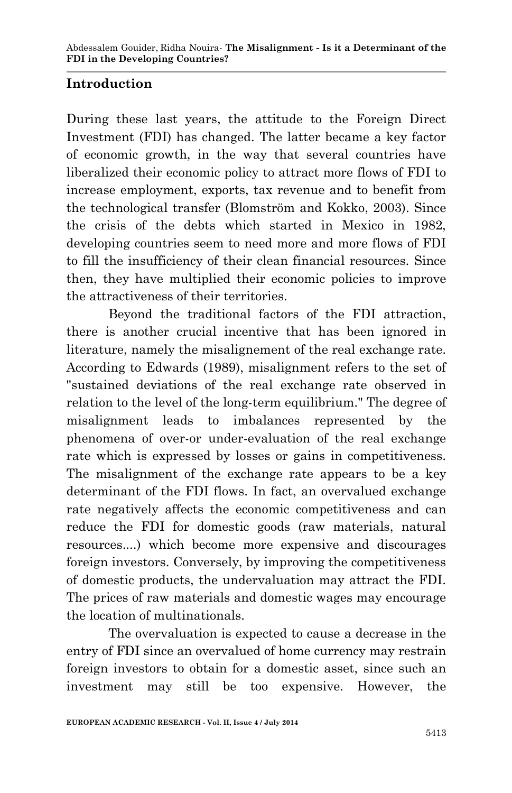# **Introduction**

During these last years, the attitude to the Foreign Direct Investment (FDI) has changed. The latter became a key factor of economic growth, in the way that several countries have liberalized their economic policy to attract more flows of FDI to increase employment, exports, tax revenue and to benefit from the technological transfer (Blomström and Kokko, 2003). Since the crisis of the debts which started in Mexico in 1982, developing countries seem to need more and more flows of FDI to fill the insufficiency of their clean financial resources. Since then, they have multiplied their economic policies to improve the attractiveness of their territories.

Beyond the traditional factors of the FDI attraction, there is another crucial incentive that has been ignored in literature, namely the misalignement of the real exchange rate. According to Edwards (1989), misalignment refers to the set of "sustained deviations of the real exchange rate observed in relation to the level of the long-term equilibrium." The degree of misalignment leads to imbalances represented by the phenomena of over-or under-evaluation of the real exchange rate which is expressed by losses or gains in competitiveness. The misalignment of the exchange rate appears to be a key determinant of the FDI flows. In fact, an overvalued exchange rate negatively affects the economic competitiveness and can reduce the FDI for domestic goods (raw materials, natural resources....) which become more expensive and discourages foreign investors. Conversely, by improving the competitiveness of domestic products, the undervaluation may attract the FDI. The prices of raw materials and domestic wages may encourage the location of multinationals.

The overvaluation is expected to cause a decrease in the entry of FDI since an overvalued of home currency may restrain foreign investors to obtain for a domestic asset, since such an investment may still be too expensive. However, the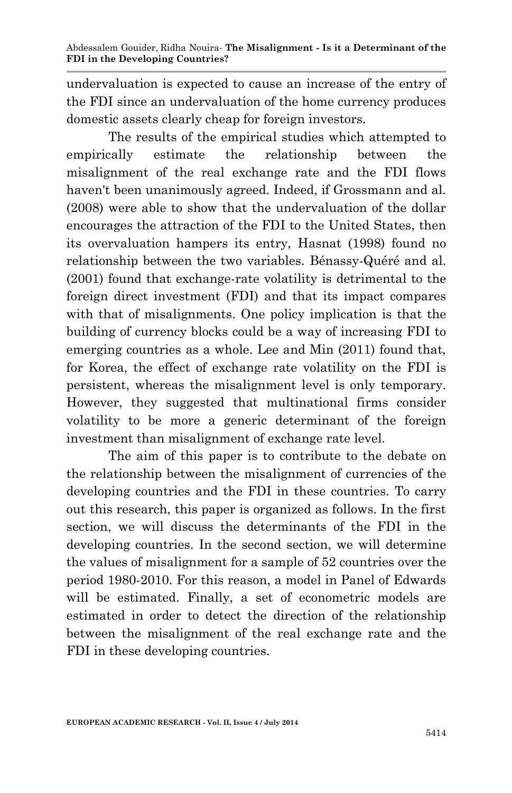undervaluation is expected to cause an increase of the entry of the FDI since an undervaluation of the home currency produces domestic assets clearly cheap for foreign investors.

The results of the empirical studies which attempted to empirically estimate the relationship between the misalignment of the real exchange rate and the FDI flows haven't been unanimously agreed. Indeed, if Grossmann and al. (2008) were able to show that the undervaluation of the dollar encourages the attraction of the FDI to the United States, then its overvaluation hampers its entry, Hasnat (1998) found no relationship between the two variables. Bénassy-Quéré and al. (2001) found that exchange-rate volatility is detrimental to the foreign direct investment (FDI) and that its impact compares with that of misalignments. One policy implication is that the building of currency blocks could be a way of increasing FDI to emerging countries as a whole. Lee and Min (2011) found that, for Korea, the effect of exchange rate volatility on the FDI is persistent, whereas the misalignment level is only temporary. However, they suggested that multinational firms consider volatility to be more a generic determinant of the foreign investment than misalignment of exchange rate level.

The aim of this paper is to contribute to the debate on the relationship between the misalignment of currencies of the developing countries and the FDI in these countries. To carry out this research, this paper is organized as follows. In the first section, we will discuss the determinants of the FDI in the developing countries. In the second section, we will determine the values of misalignment for a sample of 52 countries over the period 1980-2010. For this reason, a model in Panel of Edwards will be estimated. Finally, a set of econometric models are estimated in order to detect the direction of the relationship between the misalignment of the real exchange rate and the FDI in these developing countries.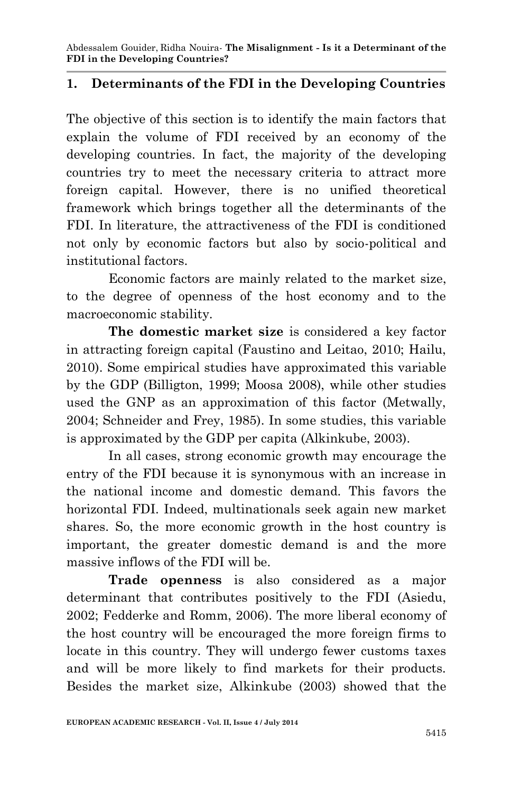# **1. Determinants of the FDI in the Developing Countries**

The objective of this section is to identify the main factors that explain the volume of FDI received by an economy of the developing countries. In fact, the majority of the developing countries try to meet the necessary criteria to attract more foreign capital. However, there is no unified theoretical framework which brings together all the determinants of the FDI. In literature, the attractiveness of the FDI is conditioned not only by economic factors but also by socio-political and institutional factors.

Economic factors are mainly related to the market size, to the degree of openness of the host economy and to the macroeconomic stability.

**The domestic market size** is considered a key factor in attracting foreign capital (Faustino and Leitao, 2010; Hailu, 2010). Some empirical studies have approximated this variable by the GDP (Billigton, 1999; Moosa 2008), while other studies used the GNP as an approximation of this factor (Metwally, 2004; Schneider and Frey, 1985). In some studies, this variable is approximated by the GDP per capita (Alkinkube, 2003).

In all cases, strong economic growth may encourage the entry of the FDI because it is synonymous with an increase in the national income and domestic demand. This favors the horizontal FDI. Indeed, multinationals seek again new market shares. So, the more economic growth in the host country is important, the greater domestic demand is and the more massive inflows of the FDI will be.

**Trade openness** is also considered as a major determinant that contributes positively to the FDI (Asiedu, 2002; Fedderke and Romm, 2006). The more liberal economy of the host country will be encouraged the more foreign firms to locate in this country. They will undergo fewer customs taxes and will be more likely to find markets for their products. Besides the market size, Alkinkube (2003) showed that the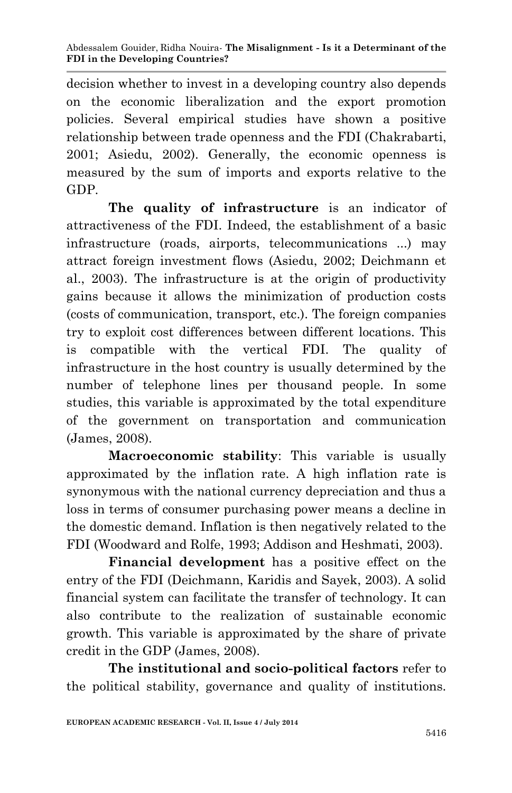decision whether to invest in a developing country also depends on the economic liberalization and the export promotion policies. Several empirical studies have shown a positive relationship between trade openness and the FDI (Chakrabarti, 2001; Asiedu, 2002). Generally, the economic openness is measured by the sum of imports and exports relative to the GDP.

**The quality of infrastructure** is an indicator of attractiveness of the FDI. Indeed, the establishment of a basic infrastructure (roads, airports, telecommunications ...) may attract foreign investment flows (Asiedu, 2002; Deichmann et al., 2003). The infrastructure is at the origin of productivity gains because it allows the minimization of production costs (costs of communication, transport, etc.). The foreign companies try to exploit cost differences between different locations. This is compatible with the vertical FDI. The quality of infrastructure in the host country is usually determined by the number of telephone lines per thousand people. In some studies, this variable is approximated by the total expenditure of the government on transportation and communication (James, 2008).

**Macroeconomic stability**: This variable is usually approximated by the inflation rate. A high inflation rate is synonymous with the national currency depreciation and thus a loss in terms of consumer purchasing power means a decline in the domestic demand. Inflation is then negatively related to the FDI (Woodward and Rolfe, 1993; Addison and Heshmati, 2003).

**Financial development** has a positive effect on the entry of the FDI (Deichmann, Karidis and Sayek, 2003). A solid financial system can facilitate the transfer of technology. It can also contribute to the realization of sustainable economic growth. This variable is approximated by the share of private credit in the GDP (James, 2008).

**The institutional and socio-political factors** refer to the political stability, governance and quality of institutions.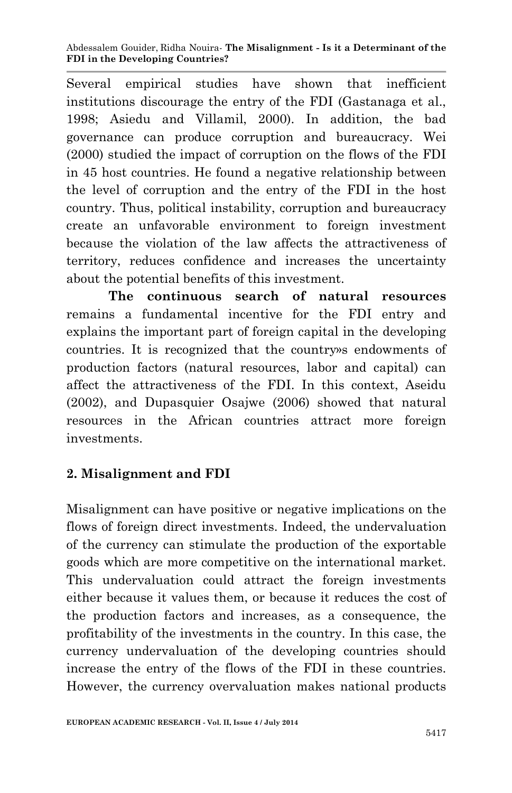Several empirical studies have shown that inefficient institutions discourage the entry of the FDI (Gastanaga et al., 1998; Asiedu and Villamil, 2000). In addition, the bad governance can produce corruption and bureaucracy. Wei (2000) studied the impact of corruption on the flows of the FDI in 45 host countries. He found a negative relationship between the level of corruption and the entry of the FDI in the host country. Thus, political instability, corruption and bureaucracy create an unfavorable environment to foreign investment because the violation of the law affects the attractiveness of territory, reduces confidence and increases the uncertainty about the potential benefits of this investment.

**The continuous search of natural resources** remains a fundamental incentive for the FDI entry and explains the important part of foreign capital in the developing countries. It is recognized that the country»s endowments of production factors (natural resources, labor and capital) can affect the attractiveness of the FDI. In this context, Aseidu (2002), and Dupasquier Osajwe (2006) showed that natural resources in the African countries attract more foreign investments.

# **2. Misalignment and FDI**

Misalignment can have positive or negative implications on the flows of foreign direct investments. Indeed, the undervaluation of the currency can stimulate the production of the exportable goods which are more competitive on the international market. This undervaluation could attract the foreign investments either because it values them, or because it reduces the cost of the production factors and increases, as a consequence, the profitability of the investments in the country. In this case, the currency undervaluation of the developing countries should increase the entry of the flows of the FDI in these countries. However, the currency overvaluation makes national products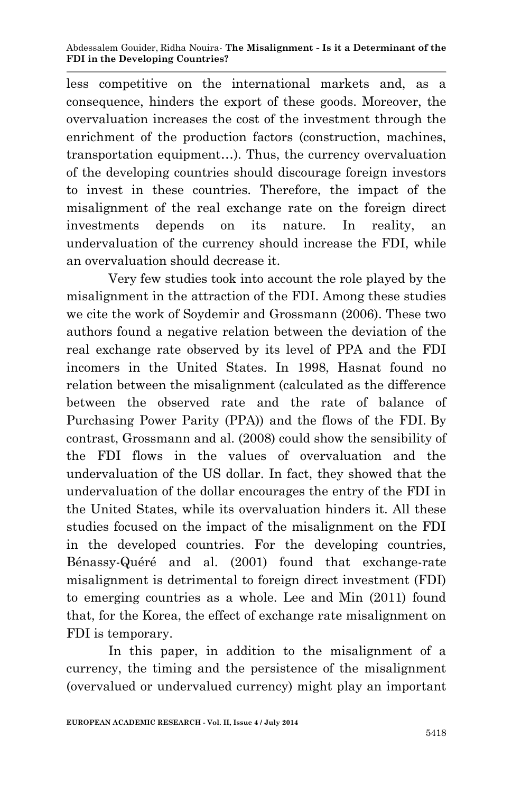less competitive on the international markets and, as a consequence, hinders the export of these goods. Moreover, the overvaluation increases the cost of the investment through the enrichment of the production factors (construction, machines, transportation equipment…). Thus, the currency overvaluation of the developing countries should discourage foreign investors to invest in these countries. Therefore, the impact of the misalignment of the real exchange rate on the foreign direct investments depends on its nature. In reality, an undervaluation of the currency should increase the FDI, while an overvaluation should decrease it.

Very few studies took into account the role played by the misalignment in the attraction of the FDI. Among these studies we cite the work of Soydemir and Grossmann (2006). These two authors found a negative relation between the deviation of the real exchange rate observed by its level of PPA and the FDI incomers in the United States. In 1998, Hasnat found no relation between the misalignment (calculated as the difference between the observed rate and the rate of balance of Purchasing Power Parity (PPA)) and the flows of the FDI. By contrast, Grossmann and al. (2008) could show the sensibility of the FDI flows in the values of overvaluation and the undervaluation of the US dollar. In fact, they showed that the undervaluation of the dollar encourages the entry of the FDI in the United States, while its overvaluation hinders it. All these studies focused on the impact of the misalignment on the FDI in the developed countries. For the developing countries, Bénassy-Quéré and al. (2001) found that exchange-rate misalignment is detrimental to foreign direct investment (FDI) to emerging countries as a whole. Lee and Min (2011) found that, for the Korea, the effect of exchange rate misalignment on FDI is temporary.

In this paper, in addition to the misalignment of a currency, the timing and the persistence of the misalignment (overvalued or undervalued currency) might play an important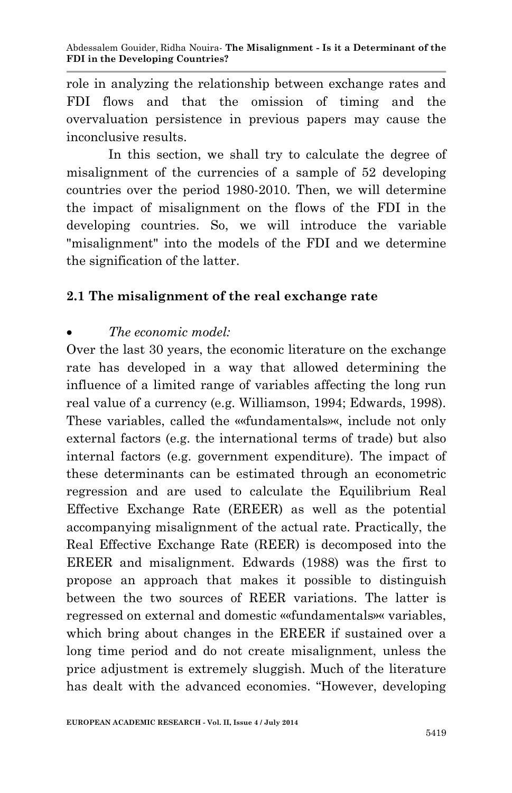role in analyzing the relationship between exchange rates and FDI flows and that the omission of timing and the overvaluation persistence in previous papers may cause the inconclusive results.

In this section, we shall try to calculate the degree of misalignment of the currencies of a sample of 52 developing countries over the period 1980-2010. Then, we will determine the impact of misalignment on the flows of the FDI in the developing countries. So, we will introduce the variable "misalignment" into the models of the FDI and we determine the signification of the latter.

# **2.1 The misalignment of the real exchange rate**

# *The economic model:*

Over the last 30 years, the economic literature on the exchange rate has developed in a way that allowed determining the influence of a limited range of variables affecting the long run real value of a currency (e.g. Williamson, 1994; Edwards, 1998). These variables, called the ««fundamentals»«, include not only external factors (e.g. the international terms of trade) but also internal factors (e.g. government expenditure). The impact of these determinants can be estimated through an econometric regression and are used to calculate the Equilibrium Real Effective Exchange Rate (EREER) as well as the potential accompanying misalignment of the actual rate. Practically, the Real Effective Exchange Rate (REER) is decomposed into the EREER and misalignment. Edwards (1988) was the first to propose an approach that makes it possible to distinguish between the two sources of REER variations. The latter is regressed on external and domestic ««fundamentals»« variables, which bring about changes in the EREER if sustained over a long time period and do not create misalignment, unless the price adjustment is extremely sluggish. Much of the literature has dealt with the advanced economies. "However, developing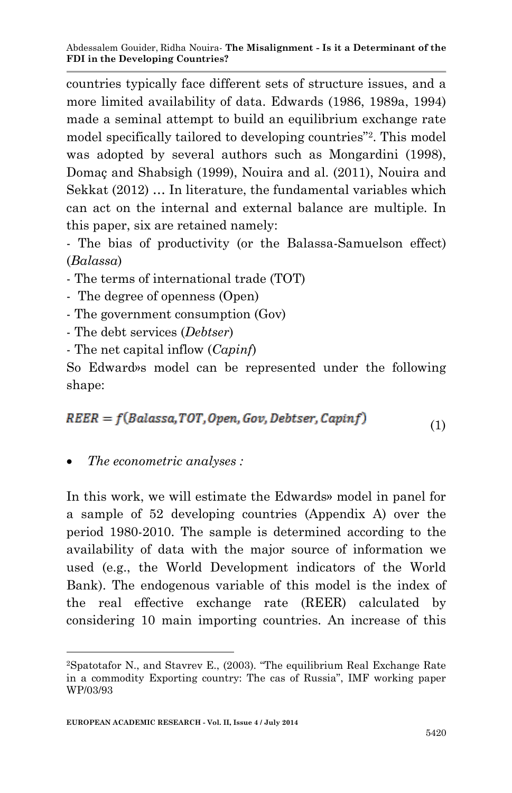countries typically face different sets of structure issues, and a more limited availability of data. Edwards (1986, 1989a, 1994) made a seminal attempt to build an equilibrium exchange rate model specifically tailored to developing countries"<sup>2</sup> . This model was adopted by several authors such as Mongardini (1998), Domaç and Shabsigh (1999), Nouira and al. (2011), Nouira and Sekkat (2012) … In literature, the fundamental variables which can act on the internal and external balance are multiple. In this paper, six are retained namely:

- The bias of productivity (or the Balassa-Samuelson effect) (*Balassa*)

- The terms of international trade (TOT)

- The degree of openness (Open)
- The government consumption (Gov)
- The debt services (*Debtser*)
- The net capital inflow (*Capinf*)

So Edward»s model can be represented under the following shape:

$$
REER = f(Balassa, TOT, Open, Gov, Debtser, Capinf)
$$
\n(1)

*The econometric analyses :*

**.** 

In this work, we will estimate the Edwards» model in panel for a sample of 52 developing countries (Appendix A) over the period 1980-2010. The sample is determined according to the availability of data with the major source of information we used (e.g., the World Development indicators of the World Bank). The endogenous variable of this model is the index of the real effective exchange rate (REER) calculated by considering 10 main importing countries. An increase of this

<sup>2</sup>Spatotafor N., and Stavrev E., (2003). "The equilibrium Real Exchange Rate in a commodity Exporting country: The cas of Russia", IMF working paper WP/03/93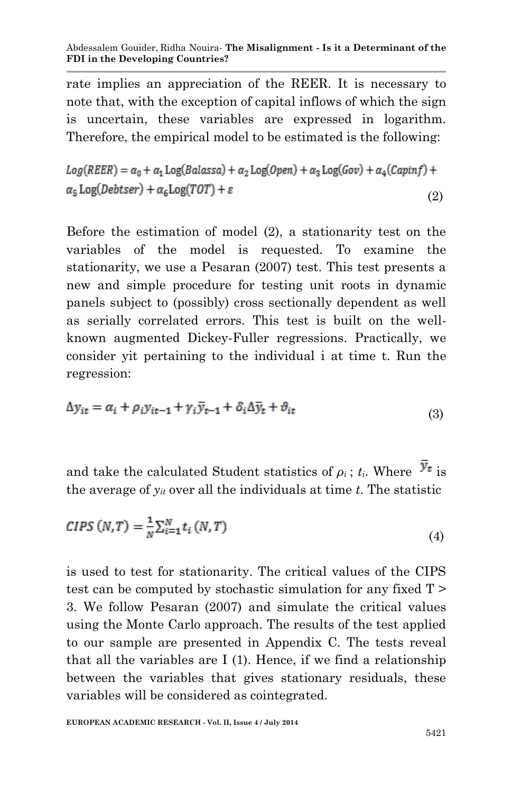rate implies an appreciation of the REER. It is necessary to note that, with the exception of capital inflows of which the sign is uncertain, these variables are expressed in logarithm. Therefore, the empirical model to be estimated is the following:

$$
Log(REER) = \alpha_0 + \alpha_1 Log(Balassa) + \alpha_2 Log(Open) + \alpha_3 Log(Gov) + \alpha_4(Capinf) + \alpha_5 Log(Debtser) + \alpha_6 Log(TOT) + \varepsilon
$$
\n(2)

Before the estimation of model (2), a stationarity test on the variables of the model is requested. To examine the stationarity, we use a Pesaran (2007) test. This test presents a new and simple procedure for testing unit roots in dynamic panels subject to (possibly) cross sectionally dependent as well as serially correlated errors. This test is built on the wellknown augmented Dickey-Fuller regressions. Practically, we consider yit pertaining to the individual i at time t. Run the regression:

$$
\Delta y_{it} = \alpha_i + \rho_i y_{it-1} + \gamma_i \bar{y}_{t-1} + \delta_i \Delta \bar{y}_t + \vartheta_{it}
$$
\n(3)

and take the calculated Student statistics of  $\rho_i$ : *t<sub>i</sub>*. Where  $\mathcal{Y}_t$  is the average of *yit* over all the individuals at time *t*. The statistic

$$
CIPS (N, T) = \frac{1}{N} \sum_{i=1}^{N} t_i (N, T)
$$
\n
$$
\tag{4}
$$

is used to test for stationarity. The critical values of the CIPS test can be computed by stochastic simulation for any fixed T > 3. We follow Pesaran (2007) and simulate the critical values using the Monte Carlo approach. The results of the test applied to our sample are presented in Appendix C. The tests reveal that all the variables are I (1). Hence, if we find a relationship between the variables that gives stationary residuals, these variables will be considered as cointegrated.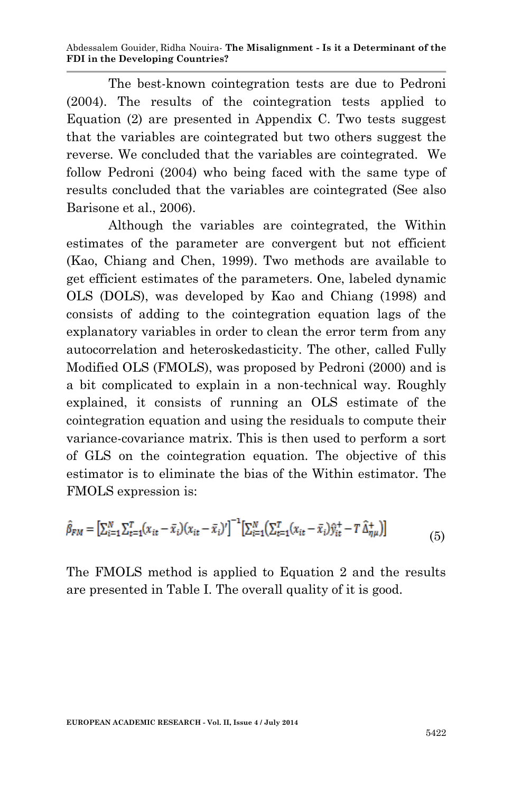The best-known cointegration tests are due to Pedroni (2004). The results of the cointegration tests applied to Equation (2) are presented in Appendix C. Two tests suggest that the variables are cointegrated but two others suggest the reverse. We concluded that the variables are cointegrated. We follow Pedroni (2004) who being faced with the same type of results concluded that the variables are cointegrated (See also Barisone et al., 2006).

Although the variables are cointegrated, the Within estimates of the parameter are convergent but not efficient (Kao, Chiang and Chen, 1999). Two methods are available to get efficient estimates of the parameters. One, labeled dynamic OLS (DOLS), was developed by Kao and Chiang (1998) and consists of adding to the cointegration equation lags of the explanatory variables in order to clean the error term from any autocorrelation and heteroskedasticity. The other, called Fully Modified OLS (FMOLS), was proposed by Pedroni (2000) and is a bit complicated to explain in a non-technical way. Roughly explained, it consists of running an OLS estimate of the cointegration equation and using the residuals to compute their variance-covariance matrix. This is then used to perform a sort of GLS on the cointegration equation. The objective of this estimator is to eliminate the bias of the Within estimator. The FMOLS expression is:

$$
\hat{\beta}_{FM} = \left[\sum_{i=1}^{N} \sum_{t=1}^{T} (x_{it} - \bar{x}_i)(x_{it} - \bar{x}_i)'\right]^{-1} \left[\sum_{i=1}^{N} \left(\sum_{t=1}^{T} (x_{it} - \bar{x}_i)\hat{y}_{it}^+ - T \hat{\Delta}_{\eta\mu}^+\right)\right]
$$
(5)

The FMOLS method is applied to Equation 2 and the results are presented in Table I. The overall quality of it is good.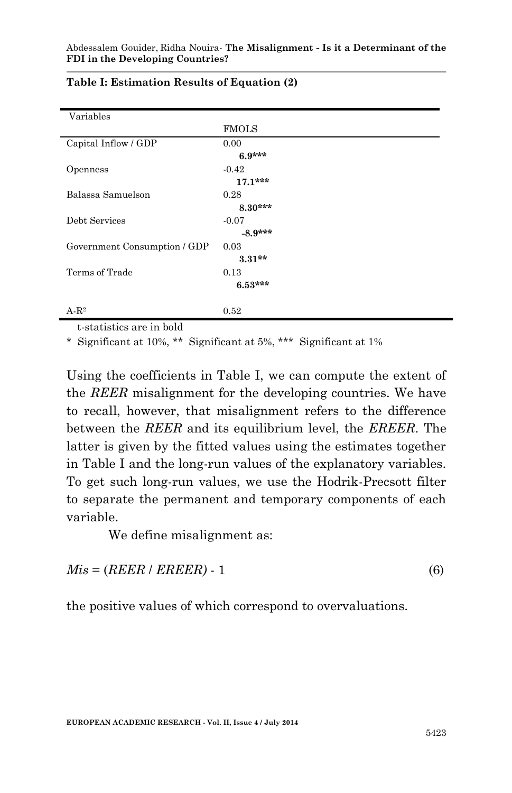| Variables                    |              |
|------------------------------|--------------|
|                              | <b>FMOLS</b> |
| Capital Inflow / GDP         | 0.00         |
|                              | $6.9***$     |
| Openness                     | $-0.42$      |
|                              | $17.1***$    |
| Balassa Samuelson            | 0.28         |
|                              | $8.30***$    |
| Debt Services                | $-0.07$      |
|                              | $-8.9***$    |
| Government Consumption / GDP | 0.03         |
|                              | $3.31**$     |
| Terms of Trade               | 0.13         |
|                              | $6.53***$    |
|                              |              |
| $A-R^2$                      | 0.52         |

#### **Table I: Estimation Results of Equation (2)**

t-statistics are in bold

\* Significant at 10%, \*\* Significant at 5%, \*\*\* Significant at 1%

Using the coefficients in Table I, we can compute the extent of the *REER* misalignment for the developing countries. We have to recall, however, that misalignment refers to the difference between the *REER* and its equilibrium level, the *EREER*. The latter is given by the fitted values using the estimates together in Table I and the long-run values of the explanatory variables. To get such long-run values, we use the Hodrik-Precsott filter to separate the permanent and temporary components of each variable.

We define misalignment as:

 $Mis = (REER / EREER) - 1$  (6)

the positive values of which correspond to overvaluations.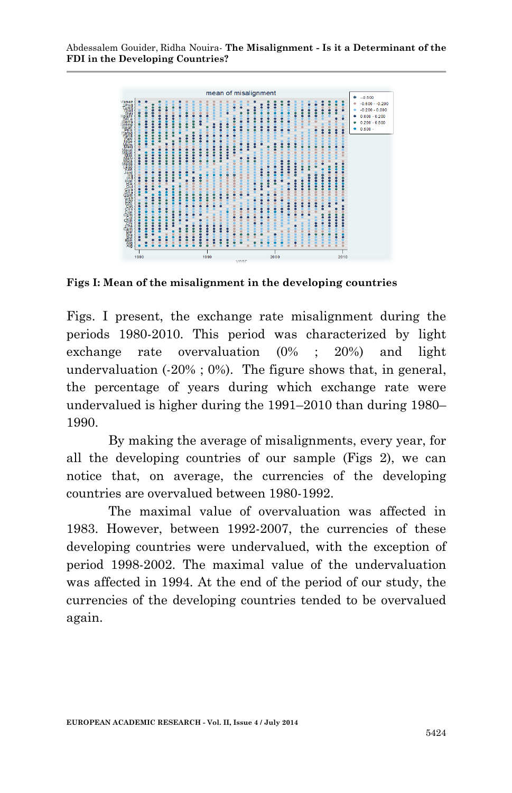

**Figs I: Mean of the misalignment in the developing countries**

Figs. I present, the exchange rate misalignment during the periods 1980-2010. This period was characterized by light exchange rate overvaluation (0% ; 20%) and light undervaluation  $(-20\% : 0\%)$ . The figure shows that, in general, the percentage of years during which exchange rate were undervalued is higher during the 1991–2010 than during 1980– 1990.

By making the average of misalignments, every year, for all the developing countries of our sample (Figs 2), we can notice that, on average, the currencies of the developing countries are overvalued between 1980-1992.

The maximal value of overvaluation was affected in 1983. However, between 1992-2007, the currencies of these developing countries were undervalued, with the exception of period 1998-2002. The maximal value of the undervaluation was affected in 1994. At the end of the period of our study, the currencies of the developing countries tended to be overvalued again.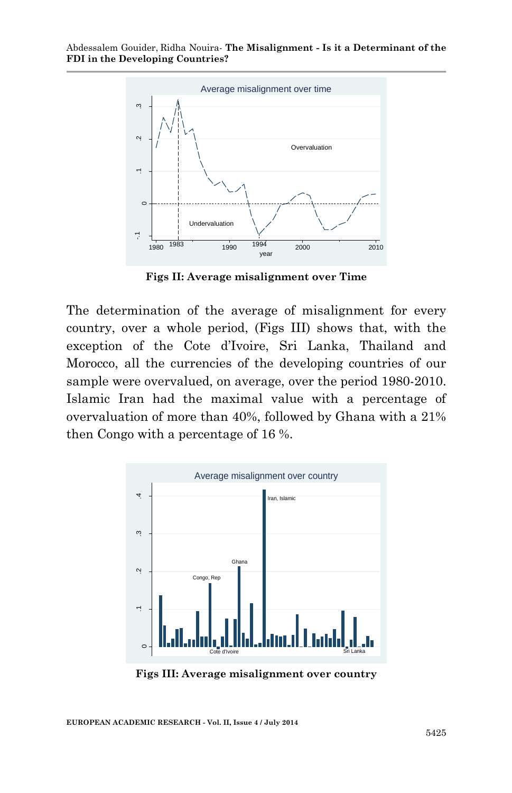

**Figs II: Average misalignment over Time**

The determination of the average of misalignment for every country, over a whole period, (Figs III) shows that, with the exception of the Cote d'Ivoire, Sri Lanka, Thailand and Morocco, all the currencies of the developing countries of our sample were overvalued, on average, over the period 1980-2010. Islamic Iran had the maximal value with a percentage of overvaluation of more than 40%, followed by Ghana with a 21% then Congo with a percentage of 16 %.



**Figs III: Average misalignment over country**

**EUROPEAN ACADEMIC RESEARCH - Vol. II, Issue 4 / July 2014**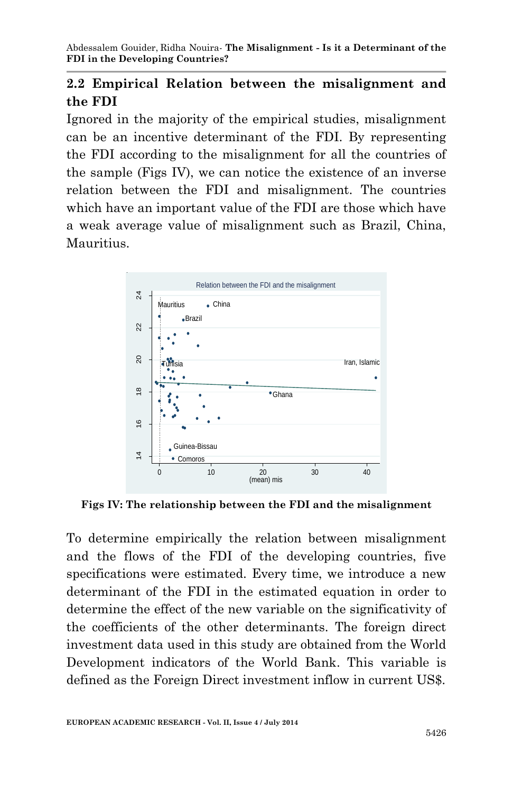# **2.2 Empirical Relation between the misalignment and the FDI**

Ignored in the majority of the empirical studies, misalignment can be an incentive determinant of the FDI. By representing the FDI according to the misalignment for all the countries of the sample (Figs IV), we can notice the existence of an inverse relation between the FDI and misalignment. The countries which have an important value of the FDI are those which have a weak average value of misalignment such as Brazil, China, Mauritius.



**Figs IV: The relationship between the FDI and the misalignment**

To determine empirically the relation between misalignment and the flows of the FDI of the developing countries, five specifications were estimated. Every time, we introduce a new determinant of the FDI in the estimated equation in order to determine the effect of the new variable on the significativity of the coefficients of the other determinants. The foreign direct investment data used in this study are obtained from the World Development indicators of the World Bank. This variable is defined as the Foreign Direct investment inflow in current US\$.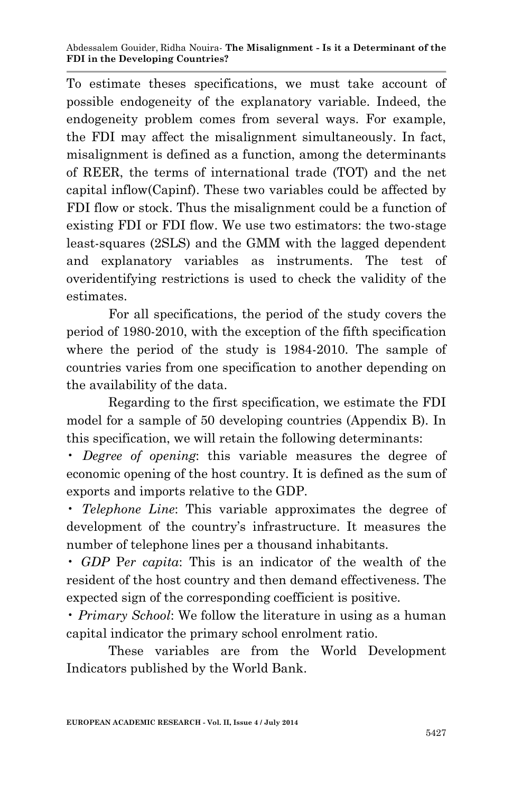To estimate theses specifications, we must take account of possible endogeneity of the explanatory variable. Indeed, the endogeneity problem comes from several ways. For example, the FDI may affect the misalignment simultaneously. In fact, misalignment is defined as a function, among the determinants of REER, the terms of international trade (TOT) and the net capital inflow(Capinf). These two variables could be affected by FDI flow or stock. Thus the misalignment could be a function of existing FDI or FDI flow. We use two estimators: the two-stage least-squares (2SLS) and the GMM with the lagged dependent and explanatory variables as instruments. The test of overidentifying restrictions is used to check the validity of the estimates.

For all specifications, the period of the study covers the period of 1980-2010, with the exception of the fifth specification where the period of the study is 1984-2010. The sample of countries varies from one specification to another depending on the availability of the data.

Regarding to the first specification, we estimate the FDI model for a sample of 50 developing countries (Appendix B). In this specification, we will retain the following determinants:

• *Degree of opening*: this variable measures the degree of economic opening of the host country. It is defined as the sum of exports and imports relative to the GDP.

• *Telephone Line*: This variable approximates the degree of development of the country's infrastructure. It measures the number of telephone lines per a thousand inhabitants.

• *GDP* P*er capita*: This is an indicator of the wealth of the resident of the host country and then demand effectiveness. The expected sign of the corresponding coefficient is positive.

• *Primary School*: We follow the literature in using as a human capital indicator the primary school enrolment ratio.

These variables are from the World Development Indicators published by the World Bank.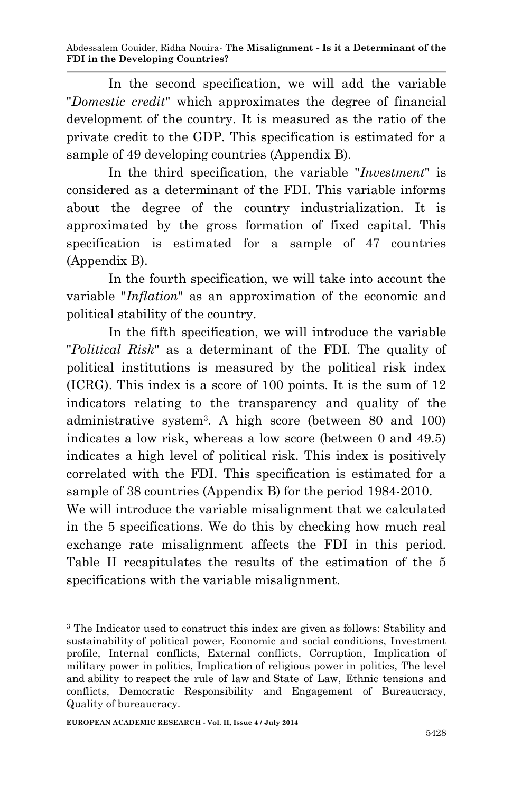In the second specification, we will add the variable "*Domestic credit*" which approximates the degree of financial development of the country. It is measured as the ratio of the private credit to the GDP. This specification is estimated for a sample of 49 developing countries (Appendix B).

In the third specification, the variable "*Investment*" is considered as a determinant of the FDI. This variable informs about the degree of the country industrialization. It is approximated by the gross formation of fixed capital. This specification is estimated for a sample of 47 countries (Appendix B).

In the fourth specification, we will take into account the variable "*Inflation*" as an approximation of the economic and political stability of the country.

In the fifth specification, we will introduce the variable "*Political Risk*" as a determinant of the FDI. The quality of political institutions is measured by the political risk index (ICRG). This index is a score of 100 points. It is the sum of 12 indicators relating to the transparency and quality of the administrative system<sup>3</sup> . A high score (between 80 and 100) indicates a low risk, whereas a low score (between 0 and 49.5) indicates a high level of political risk. This index is positively correlated with the FDI. This specification is estimated for a sample of 38 countries (Appendix B) for the period 1984-2010.

We will introduce the variable misalignment that we calculated in the 5 specifications. We do this by checking how much real exchange rate misalignment affects the FDI in this period. Table II recapitulates the results of the estimation of the 5 specifications with the variable misalignment.

**<sup>.</sup>** <sup>3</sup> The Indicator used to construct this index are given as follows: Stability and sustainability of political power, Economic and social conditions, Investment profile, Internal conflicts, External conflicts, Corruption, Implication of military power in politics, Implication of religious power in politics, The level and ability to respect the rule of law and State of Law, Ethnic tensions and conflicts, Democratic Responsibility and Engagement of Bureaucracy, Quality of bureaucracy.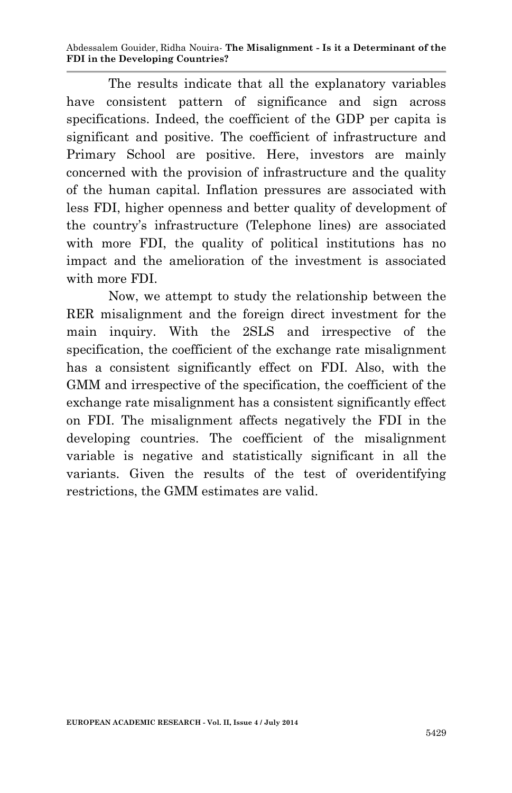The results indicate that all the explanatory variables have consistent pattern of significance and sign across specifications. Indeed, the coefficient of the GDP per capita is significant and positive. The coefficient of infrastructure and Primary School are positive. Here, investors are mainly concerned with the provision of infrastructure and the quality of the human capital. Inflation pressures are associated with less FDI, higher openness and better quality of development of the country's infrastructure (Telephone lines) are associated with more FDI, the quality of political institutions has no impact and the amelioration of the investment is associated with more FDI.

Now, we attempt to study the relationship between the RER misalignment and the foreign direct investment for the main inquiry. With the 2SLS and irrespective of the specification, the coefficient of the exchange rate misalignment has a consistent significantly effect on FDI. Also, with the GMM and irrespective of the specification, the coefficient of the exchange rate misalignment has a consistent significantly effect on FDI. The misalignment affects negatively the FDI in the developing countries. The coefficient of the misalignment variable is negative and statistically significant in all the variants. Given the results of the test of overidentifying restrictions, the GMM estimates are valid.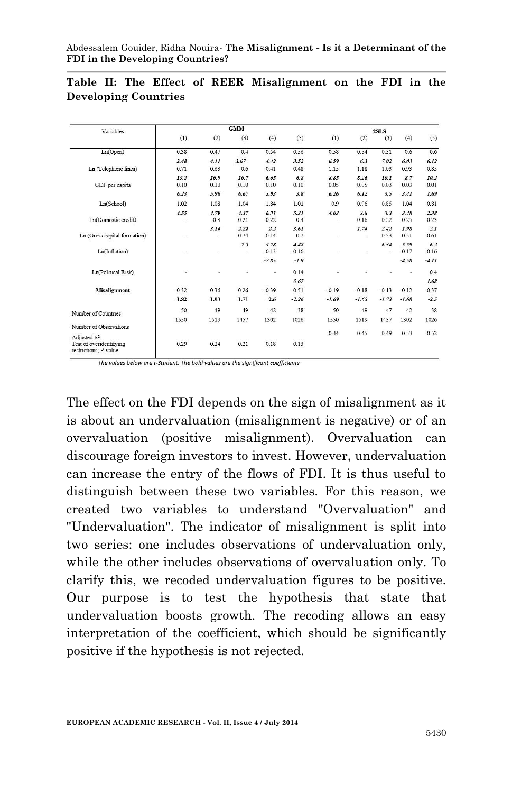| Variables                                                                   |           |             | <b>GMM</b>   |                 |                 |                                  |             | 2SLS         |                 |                |
|-----------------------------------------------------------------------------|-----------|-------------|--------------|-----------------|-----------------|----------------------------------|-------------|--------------|-----------------|----------------|
|                                                                             | (1)       | (2)         | (3)          | (4)             | (5)             | (1)                              | (2)         | (3)          | (4)             | (5)            |
| Ln(Open)                                                                    | 038       | 047         | 04           | 0.54            | 0.56            | 0.58                             | 0.54        | 0.51         | 0 <sub>6</sub>  | 0.6            |
|                                                                             | 3.48      | 4.11        | 3.67         | 4.42            | 3.52            | 6.59                             | 6.3         | 7.02         | 6.03            | 6.12           |
| Ln (Telephone lines)                                                        | 0.71      | 0.63        | 0.6          | 0.41            | 0.48            | 1.15                             | 1.18        | 1.03         | 0.93            | 0.85           |
|                                                                             | 13.2      | 10.9        | 10.7         | 6.65            | 6.8             | 8.85                             | 8.26        | 10.1         | 8.7             | 10.2           |
| GDP per capita                                                              | 0.10      | 0.10        | 0.10         | 0.10            | 0.10            | 0.05                             | 0.05        | 0.03         | 0.03            | 0.01           |
|                                                                             | 6.23      | 5.96        | 6.67         | 5.93            | 3.8             | 6.26                             | 6.12        | 3.5          | 3.41            | 1.69           |
| Ln(School)                                                                  | 1.02      | 1.08        | 1.04         | 1.84            | 1.01            | 0.9                              | 0.96        | 0.85         | 1.04            | 0.81           |
| Ln(Domestic credit)                                                         | 4.55<br>- | 4.79<br>0.3 | 4.37<br>0.21 | 6.31<br>0.22    | 5.31<br>0.4     | 4.03<br>$\overline{\phantom{a}}$ | 3.8<br>0.16 | 3.3<br>0.22  | 3.48<br>0.25    | 2.38<br>0.23   |
| Ln (Gross capital formation)                                                | -         | 3.14<br>٠   | 2.22<br>0.24 | 2.2<br>0.14     | 3.61<br>0.2     | ۰                                | 1.74<br>٠   | 2.42<br>0.53 | 1.98<br>0.51    | 2.1<br>0.61    |
| Ln(Inflation)                                                               |           | ٠           | 7.5<br>×,    | 3.78<br>$-0.13$ | 4.48<br>$-0.16$ |                                  |             | 6.34<br>ä,   | 5.59<br>$-0.17$ | 6.2<br>$-0.16$ |
|                                                                             |           |             |              | $-2.85$         | $-1.9$          |                                  |             |              | $-4.58$         | $-4.11$        |
| Ln(Political Risk)                                                          | ×         | ٠           | ۵            | z               | 0.14            |                                  |             |              | ۷               | 0.4            |
|                                                                             |           |             |              |                 | 0.67            |                                  |             |              |                 | 1.68           |
| <b>Misalignment</b>                                                         | $-0.32$   | $-0.36$     | $-0.26$      | $-0.39$         | $-0.51$         | $-0.19$                          | $-0.18$     | $-0.13$      | $-0.12$         | $-0.37$        |
|                                                                             | $-1.82$   | $-1.93$     | $-1.71$      | $-2.6$          | $-2.26$         | $-1.69$                          | $-1.65$     | $-1.73$      | $-1.68$         | $-2.5$         |
| Number of Countries                                                         | 50        | 49          | 49           | 42              | 38              | 50                               | 49          | 47           | 42              | 38             |
|                                                                             | 1550      | 1519        | 1457         | 1302            | 1026            | 1550                             | 1519        | 1457         | 1302            | 1026           |
| Number of Observations                                                      |           |             |              |                 |                 |                                  |             |              |                 |                |
| Adjusted R <sup>2</sup><br>Test of overidentifying<br>restrictions: P-value | 0.29      | 0.24        | 0.21         | 0.18            | 0.13            | 0.44                             | 0.45        | 0.49         | 0.53            | 0.52           |

#### **Table II: The Effect of REER Misalignment on the FDI in the Developing Countries**

The effect on the FDI depends on the sign of misalignment as it is about an undervaluation (misalignment is negative) or of an overvaluation (positive misalignment). Overvaluation can discourage foreign investors to invest. However, undervaluation can increase the entry of the flows of FDI. It is thus useful to distinguish between these two variables. For this reason, we created two variables to understand "Overvaluation" and "Undervaluation". The indicator of misalignment is split into two series: one includes observations of undervaluation only, while the other includes observations of overvaluation only. To clarify this, we recoded undervaluation figures to be positive. Our purpose is to test the hypothesis that state that undervaluation boosts growth. The recoding allows an easy interpretation of the coefficient, which should be significantly positive if the hypothesis is not rejected.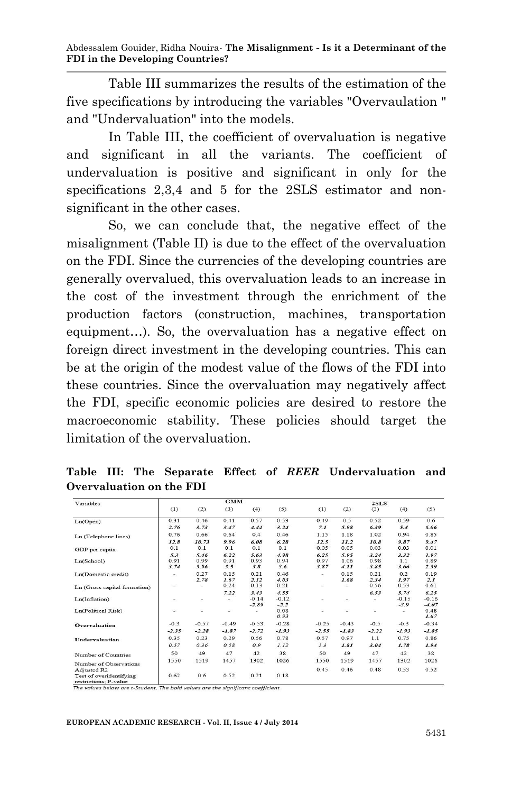Table III summarizes the results of the estimation of the five specifications by introducing the variables "Overvaulation " and "Undervaluation" into the models.

In Table III, the coefficient of overvaluation is negative and significant in all the variants. The coefficient of undervaluation is positive and significant in only for the specifications 2,3,4 and 5 for the 2SLS estimator and nonsignificant in the other cases.

So, we can conclude that, the negative effect of the misalignment (Table II) is due to the effect of the overvaluation on the FDI. Since the currencies of the developing countries are generally overvalued, this overvaluation leads to an increase in the cost of the investment through the enrichment of the production factors (construction, machines, transportation equipment…). So, the overvaluation has a negative effect on foreign direct investment in the developing countries. This can be at the origin of the modest value of the flows of the FDI into these countries. Since the overvaluation may negatively affect the FDI, specific economic policies are desired to restore the macroeconomic stability. These policies should target the limitation of the overvaluation.

| Variables                             |                          |           | <b>GMM</b>   |              |              |                          |            | 2SLS         |              |             |
|---------------------------------------|--------------------------|-----------|--------------|--------------|--------------|--------------------------|------------|--------------|--------------|-------------|
|                                       | (1)                      | (2)       | (3)          | (4)          | (5)          | (1)                      | (2)        | (3)          | (4)          | (5)         |
| Ln(Open)                              | 0.31                     | 0.46      | 0.41         | 0.57         | 0.53         | 0.49                     | 0.5        | 0.52         | 0.59         | 0.6         |
|                                       | 2.76                     | 3.73      | 3.47         | 4.44         | 3.24         | 7.1                      | 5.98       | 6.39         | 5.4          | 6.06        |
| Ln (Telephone lines)                  | 0.76                     | 0.66      | 0.64         | 0.4          | 0.46         | 1.15                     | 1.18       | 1.02         | 0.94         | 0.85        |
|                                       | 12.8                     | 10.73     | 9.96         | 6.08         | 6.28         | 12.5                     | 11.2       | 10.8         | 9.87         | 9.47        |
| GDP per capita                        | 0.1                      | 0.1       | 0.1          | 0.1          | 0.1          | 0.05                     | 0.05       | 0.03         | 0.03         | 0.01        |
|                                       | 5.3                      | 5.46      | 6.22         | 5.63         | 4.98         | 6.25                     | 5.95       | 3.24         | 3.32         | 1.97        |
| Ln(School)                            | 0.91                     | 0.99      | 0.91         | 0.93         | 0.94         | 0.97                     | 1.06       | 0.98         | 1.1          | 0.89        |
|                                       | 3.74                     | 3.96      | 3.5          | 3.8          | 3.6          | 3.87                     | 4.11       | 3.85         | 3.66         | 2.39        |
| Ln(Domestic credit)                   | $\overline{\phantom{a}}$ | 0.27      | 0.15         | 0.21         | 0.46         | $\overline{\phantom{a}}$ | 0.15       | 0.21         | 0.2          | 0.19        |
|                                       | $\overline{\phantom{a}}$ | 2.78<br>٠ | 1.67<br>0.24 | 2.12<br>0.13 | 4.03<br>0.21 | -                        | 1.68<br>÷. | 2.34<br>0.56 | 1.97<br>0.53 | 2.1<br>0.61 |
| Ln (Gross capital formation)          |                          |           | 7.22         | 3.43         | 4.55         |                          |            | 6.53         | 5.74         | 6.25        |
| Ln(Inflation)                         |                          | ٠         | ۰.           | $-0.14$      | $-0.12$      |                          | ۰          |              | $-0.15$      | $-0.16$     |
|                                       | ÷                        |           |              | $-2.89$      | $-2.2$       |                          |            |              | $-3.9$       | $-4.07$     |
| Ln(Political Risk)                    | i.                       | ٠         | ٠            | z,           | 0.08         | ۰                        | ۰          | ш            | a,           | 0.48        |
|                                       |                          |           |              |              | 0.93         |                          |            |              |              | 1.67        |
| Overvaluation                         | $-0.3$                   | $-0.57$   | $-0.49$      | $-0.53$      | $-0.28$      | $-0.25$                  | $-0.43$    | $-0.5$       | $-0.3$       | $-0.34$     |
|                                       | $-2.35$                  | $-2.28$   | $-1.87$      | $-2.72$      | $-1.93$      | $-2.55$                  | $-1.83$    | $-2.22$      | $-1.93$      | $-1.85$     |
| Undervaluation                        | 0.35                     | 0.23      | 0.29         | 0.56         | 0.78         | 0.57                     | 0.97       | 1.1          | 0.75         | 0.86        |
|                                       | 0.57                     | 0.36      | 0.58         | 0.9          | 1.12         | 1.3                      | 1.81       | 3.04         | 1.78         | 1.94        |
| Number of Countries                   | 50                       | 49        | 47           | 42           | 38           | 50                       | 49         | 47           | 42           | 38          |
|                                       | 1550                     | 1519      | 1457         | 1302         | 1026         | 1550                     | 1519       | 1457         | 1302         | 1026        |
| Number of Observations<br>Adjusted R2 |                          |           |              |              |              | 0.45                     | 0.46       | 0.48         | 0.53         | 0.52        |
| Test of overidentifying               | 0.62                     | 0.6       | 0.52         | 0.21         | 0.18         |                          |            |              |              |             |
|                                       |                          |           |              |              |              |                          |            |              |              |             |

**Table III: The Separate Effect of** *REER* **Undervaluation and Overvaluation on the FDI** 

estrictions; P-value<br>he values below are t-Student. The bold values are the significant coefficient

#### **EUROPEAN ACADEMIC RESEARCH - Vol. II, Issue 4 / July 2014**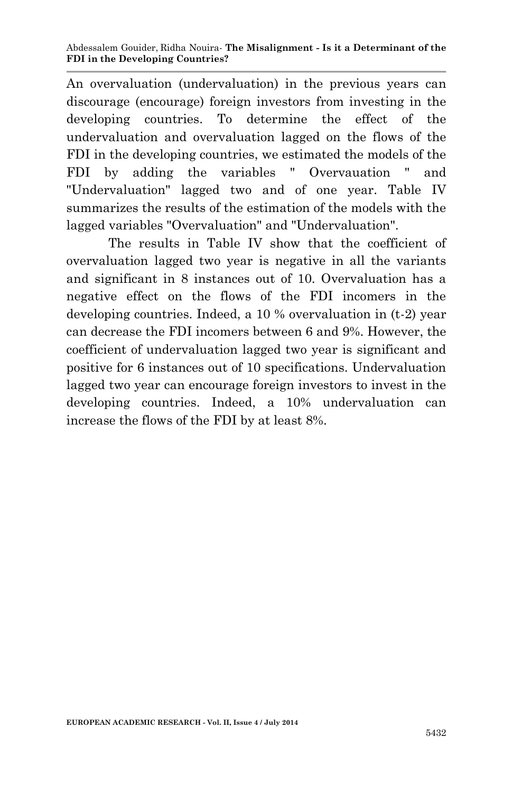An overvaluation (undervaluation) in the previous years can discourage (encourage) foreign investors from investing in the developing countries. To determine the effect of the undervaluation and overvaluation lagged on the flows of the FDI in the developing countries, we estimated the models of the FDI by adding the variables " Overvauation " and "Undervaluation" lagged two and of one year. Table IV summarizes the results of the estimation of the models with the lagged variables "Overvaluation" and "Undervaluation".

The results in Table IV show that the coefficient of overvaluation lagged two year is negative in all the variants and significant in 8 instances out of 10. Overvaluation has a negative effect on the flows of the FDI incomers in the developing countries. Indeed, a 10 % overvaluation in (t-2) year can decrease the FDI incomers between 6 and 9%. However, the coefficient of undervaluation lagged two year is significant and positive for 6 instances out of 10 specifications. Undervaluation lagged two year can encourage foreign investors to invest in the developing countries. Indeed, a 10% undervaluation can increase the flows of the FDI by at least 8%.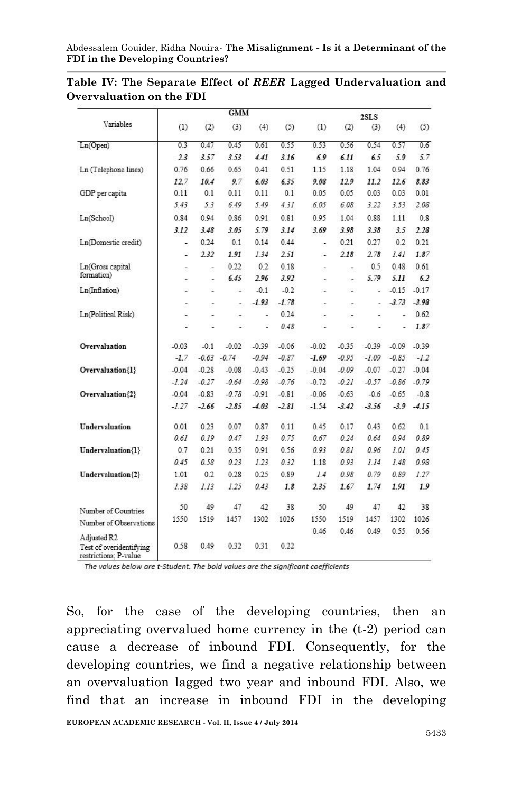|                                                                 |         |                | <b>GMM</b>     |         |         |                          |                          | 2SLS    |         |         |
|-----------------------------------------------------------------|---------|----------------|----------------|---------|---------|--------------------------|--------------------------|---------|---------|---------|
| Variables                                                       | (1)     | (2)            | (3)            | (4)     | (5)     | (1)                      | (2)                      | (3)     | (4)     | (5)     |
| Ln(Open)                                                        | 0.3     | 0.47           | 0.45           | 0.61    | 0.55    | 0.53                     | 0.56                     | 0.54    | 0.57    | 0.6     |
|                                                                 | 2.3     | 3.57           | 3.53           | 4.41    | 3.16    | 6.9                      | 6.11                     | 65      | 5.9     | 5.7     |
| Ln (Telephone lines)                                            | 0.76    | 0.66           | 0.65           | 0.41    | 0.51    | 1.15                     | 1.18                     | 1.04    | 0.94    | 0.76    |
|                                                                 | 12.7    | 10.4           | 9.7            | 6.03    | 6.35    | 9.08                     | 12.9                     | 11.2    | 12.6    | 8.83    |
| GDP per capita                                                  | 0.11    | 0.1            | 0.11           | 0.11    | 0.1     | 0.05                     | 0.05                     | 0.03    | 0.03    | 0.01    |
|                                                                 | 5.43    | 5.3            | 6.49           | 5.49    | 4.31    | 6.05                     | 6.08                     | 3.22    | 3.53    | 2.08    |
| Ln(School)                                                      | 0.84    | 0.94           | 0.86           | 0.91    | 0.81    | 0.95                     | 1.04                     | 0.88    | 1.11    | 0.8     |
|                                                                 | 3.12    | 3.48           | 3.05           | 5.79    | 3.14    | 3.69                     | 3.98                     | 3.38    | 3.5     | 2.28    |
| Ln(Domestic credit)                                             | ×,      | 0.24           | 0.1            | 0.14    | 0.44    | ×                        | 0.21                     | 0.27    | 0.2     | 0.21    |
|                                                                 | ä,      | 2.32           | 1.91           | 1.34    | 2.51    | ù,                       | 2.18                     | 2.78    | 1.41    | 1.87    |
| Ln(Gross capital                                                | ÷       | -              | 0.22           | 0.2     | 0.18    | $\overline{\phantom{m}}$ | ÷                        | 0.5     | 0.48    | 0.61    |
| formation)                                                      |         | $\overline{a}$ | 6.45           | 2.96    | 3.92    | -                        | ÷                        | 5.79    | 5.11    | 6.2     |
| Ln(Inflation)                                                   | ۷       | ٤              | ÷              | $-0.1$  | $-0.2$  | ù,                       | ×,                       | ü       | $-0.15$ | $-0.17$ |
|                                                                 | ÷       | ÷              | ۰              | $-1.93$ | $-1.78$ | $\overline{a}$           | ×.                       | ÷       | $-3.73$ | $-3.98$ |
| Ln(Political Risk)                                              | ×,      | $\overline{a}$ | $\overline{a}$ | Ξ       | 0.24    | ÷                        | $\overline{\phantom{a}}$ | ٠       | ×,      | 0.62    |
|                                                                 | ٤       | i.             | i.             | Ξ       | 0.48    | i.                       | ä,                       | L       | Ξ       | 1.87    |
| Overvaluation                                                   | $-0.03$ | $-0.1$         | $-0.02$        | $-0.39$ | $-0.06$ | $-0.02$                  | $-0.35$                  | $-0.39$ | $-0.09$ | $-0.39$ |
|                                                                 | $-1.7$  | $-0.63$        | $-0.74$        | $-0.94$ | $-0.87$ | $-1.69$                  | $-0.95$                  | $-1.09$ | $-0.85$ | $-1.2$  |
| Overvaluation{1}                                                | $-0.04$ | $-0.28$        | $-0.08$        | $-0.43$ | $-0.25$ | $-0.04$                  | $-0.09$                  | $-0.07$ | $-0.27$ | $-0.04$ |
|                                                                 | $-1.24$ | $-0.27$        | $-0.64$        | $-0.98$ | $-0.76$ | $-0.72$                  | $-0.21$                  | $-0.57$ | $-0.86$ | $-0.79$ |
| Overvaluation{2}                                                | $-0.04$ | $-0.83$        | $-0.78$        | $-0.91$ | $-0.81$ | $-0.06$                  | $-0.63$                  | $-0.6$  | $-0.65$ | $-0.8$  |
|                                                                 | $-1.27$ | $-2.66$        | $-2.85$        | $-4.03$ | $-2.81$ | $-1.54$                  | $-3.42$                  | $-3.56$ | $-3.9$  | $-4.15$ |
| Undervaluation                                                  | 0.01    | 0.23           | 0.07           | 0.87    | 0.11    | 0.45                     | 0.17                     | 0.43    | 0.62    | 0.1     |
|                                                                 | 0.61    | 0.19           | 0.47           | 1.93    | 0.75    | 0.67                     | 0.24                     | 0.64    | 0.94    | 0.89    |
| Undervaluation{1}                                               | 0.7     | 0.21           | 0.35           | 0.91    | 0.56    | 0.93                     | 0.81                     | 0.96    | 1.01    | 0.45    |
|                                                                 | 0.45    | 0.58           | 0.23           | 1.23    | 0.32    | 1.18                     | 0.93                     | 1.14    | 1.48    | 0.98    |
| Undervaluation{2}                                               | 1.01    | 0.2            | 0.28           | 0.25    | 0.89    | 1.4                      | 0.98                     | 0.79    | 0.89    | 1.27    |
|                                                                 | 1.38    | 1.13           | 1.25           | 0.43    | 1.8     | 2.35                     | 1.67                     | 1.74    | 1.91    | 1.9     |
| Number of Countries                                             | 50      | 49             | 47             | 42      | 38      | 50                       | 49                       | 47      | 42      | 38      |
| Number of Observations                                          | 1550    | 1519           | 1457           | 1302    | 1026    | 1550                     | 1519                     | 1457    | 1302    | 1026    |
|                                                                 |         |                |                |         |         | 0.46                     | 0.46                     | 0.49    | 0.55    | 0.56    |
| Adjusted R2<br>Test of overidentifying<br>restrictions: P-value | 0.58    | 0.49           | 0.32           | 0.31    | 0.22    |                          |                          |         |         |         |

**Table IV: The Separate Effect of** *REER* **Lagged Undervaluation and Overvaluation on the FDI**

The values below are t-Student. The bold values are the significant coefficients

So, for the case of the developing countries, then an appreciating overvalued home currency in the (t-2) period can cause a decrease of inbound FDI. Consequently, for the developing countries, we find a negative relationship between an overvaluation lagged two year and inbound FDI. Also, we find that an increase in inbound FDI in the developing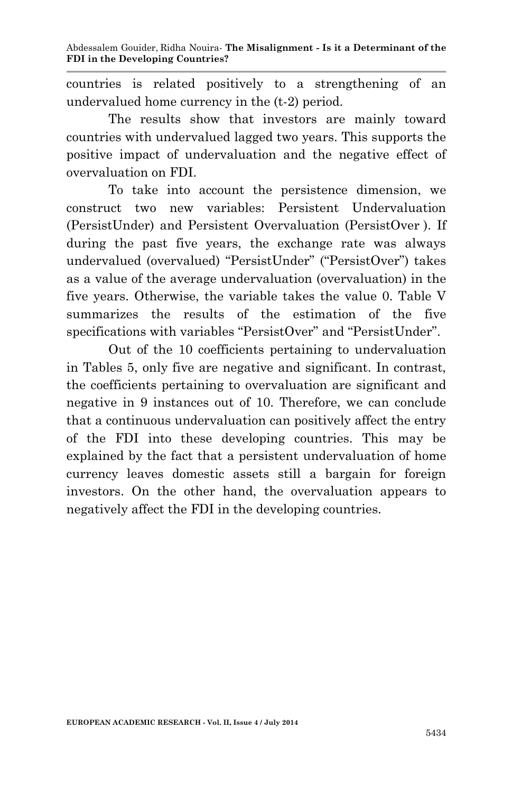countries is related positively to a strengthening of an undervalued home currency in the (t-2) period.

The results show that investors are mainly toward countries with undervalued lagged two years. This supports the positive impact of undervaluation and the negative effect of overvaluation on FDI.

To take into account the persistence dimension, we construct two new variables: Persistent Undervaluation (PersistUnder) and Persistent Overvaluation (PersistOver ). If during the past five years, the exchange rate was always undervalued (overvalued) "PersistUnder" ("PersistOver") takes as a value of the average undervaluation (overvaluation) in the five years. Otherwise, the variable takes the value 0. Table V summarizes the results of the estimation of the five specifications with variables "PersistOver" and "PersistUnder".

Out of the 10 coefficients pertaining to undervaluation in Tables 5, only five are negative and significant. In contrast, the coefficients pertaining to overvaluation are significant and negative in 9 instances out of 10. Therefore, we can conclude that a continuous undervaluation can positively affect the entry of the FDI into these developing countries. This may be explained by the fact that a persistent undervaluation of home currency leaves domestic assets still a bargain for foreign investors. On the other hand, the overvaluation appears to negatively affect the FDI in the developing countries.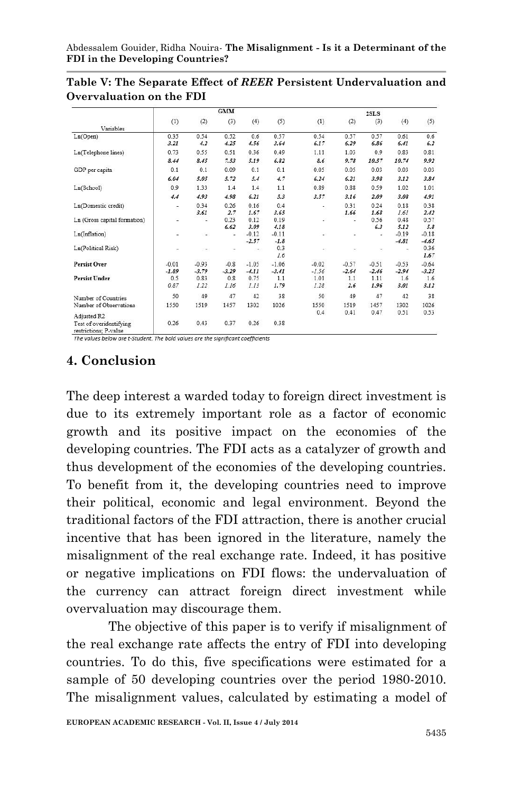|                                                  | <b>GMM</b> |         |         |         |         | 2SLS    |         |         |         |         |  |
|--------------------------------------------------|------------|---------|---------|---------|---------|---------|---------|---------|---------|---------|--|
|                                                  | (1)        | (2)     | (3)     | (4)     | (5)     | (1)     | (2)     | (3)     | (4)     | (5)     |  |
| Variables                                        |            |         |         |         |         |         |         |         |         |         |  |
| Ln(Open)                                         | 0.35       | 0.54    | 0.52    | 0.6     | 0.57    | 0.54    | 0.57    | 0.57    | 0.61    | 0.6     |  |
|                                                  | 3.21       | 4.2     | 4.25    | 4.56    | 3.64    | 6.17    | 6.29    | 6.86    | 6.41    | 6.2     |  |
| Ln(Telephone lines)                              | 0.73       | 0.55    | 0.51    | 0.36    | 0.49    | 1.11    | 1.03    | 0.9     | 0.83    | 0.81    |  |
|                                                  | 8.44       | 8.45    | 7.53    | 5.19    | 6.82    | 8.6     | 9.78    | 10.57   | 10.74   | 9.92    |  |
| GDP per capita                                   | 0.1        | 0.1     | 0.09    | 0.1     | 0.1     | 0.05    | 0.05    | 0.03    | 0.03    | 0.03    |  |
|                                                  | 6.04       | 5.05    | 5.72    | 5.4     | 4.7     | 6.24    | 6.21    | 3.98    | 3.12    | 3.84    |  |
| Ln(School)                                       | 0.9        | 1.33    | 1.4     | 1.4     | 1.1     | 0.89    | 0.88    | 0.59    | 1.02    | 1.01    |  |
|                                                  | 4.4        | 4.93    | 4.98    | 6.21    | 5.3     | 3.57    | 3.16    | 2.09    | 3.08    | 4.91    |  |
| Ln(Domestic credit)                              | ۰          | 0.34    | 0.26    | 0.16    | 0.4     | ۰       | 0.31    | 0.24    | 0.18    | 0.38    |  |
|                                                  |            | 3.61    | 2.7     | 1.67    | 3.65    |         | 1.66    | 1.68    | 1.61    | 2.42    |  |
| Ln (Gross capital formation)                     | ü          | ÷       | 0.23    | 0.12    | 0.19    | z,      |         | 0.56    | 0.48    | 0.57    |  |
|                                                  |            |         | 6.62    | 3.09    | 4.18    |         |         | 6.3     | 5.12    | 5.8     |  |
| Ln(Inflation)                                    | ۰          | ۰       | i.      | $-0.12$ | $-0.11$ | ÷.      | ц       | ù,      | $-0.19$ | $-0.18$ |  |
|                                                  |            |         |         | $-2.57$ | $-1.8$  |         |         |         | $-4.81$ | $-4.65$ |  |
| Ln(Political Risk)                               | ٠          |         |         | ٠       | 0.3     | ٠       | ۰       | ٠       | ٠       | 0.36    |  |
|                                                  |            |         |         |         | 1.6     |         |         |         |         | 1.67    |  |
| <b>Persist Over</b>                              | $-0.01$    | $-0.93$ | $-0.8$  | $-1.05$ | $-1.06$ | $-0.02$ | $-0.57$ | $-0.51$ | $-0.53$ | $-0.64$ |  |
|                                                  | $-1.89$    | $-3.79$ | $-3.29$ | $-4.11$ | $-3.41$ | $-1.56$ | $-2.64$ | $-2.46$ | $-2.94$ | $-3.25$ |  |
| <b>Persist Under</b>                             | 0.5        | 0.83    | 0.8     | 0.75    | 1.1     | 1.01    | 1.1     | 1.11    | 1.6     | 1.6     |  |
|                                                  | 0.87       | 1.22    | 1.16    | 1.13    | 1.79    | 1.28    | 2.6     | 1.96    | 3.01    | 3.12    |  |
| Number of Countries                              | 50         | 49      | 47      | 42      | 38      | 50      | 49      | 47      | 42      | 38      |  |
| Number of Observations                           | 1550       | 1519    | 1457    | 1302    | 1026    | 1550    | 1519    | 1457    | 1302    | 1026    |  |
|                                                  |            |         |         |         |         | 0.4     | 0.41    | 0.47    | 0.51    | 0.53    |  |
| Adjusted R2                                      |            |         |         |         | 0.38    |         |         |         |         |         |  |
| Test of overidentifying<br>restrictions; P-value | 0.26       | 0.43    | 0.37    | 0.26    |         |         |         |         |         |         |  |

**Table V: The Separate Effect of** *REER* **Persistent Undervaluation and Overvaluation on the FDI**

The values below are t-Student. The bold values are the significant coefficients

# **4. Conclusion**

The deep interest a warded today to foreign direct investment is due to its extremely important role as a factor of economic growth and its positive impact on the economies of the developing countries. The FDI acts as a catalyzer of growth and thus development of the economies of the developing countries. To benefit from it, the developing countries need to improve their political, economic and legal environment. Beyond the traditional factors of the FDI attraction, there is another crucial incentive that has been ignored in the literature, namely the misalignment of the real exchange rate. Indeed, it has positive or negative implications on FDI flows: the undervaluation of the currency can attract foreign direct investment while overvaluation may discourage them.

The objective of this paper is to verify if misalignment of the real exchange rate affects the entry of FDI into developing countries. To do this, five specifications were estimated for a sample of 50 developing countries over the period 1980-2010. The misalignment values, calculated by estimating a model of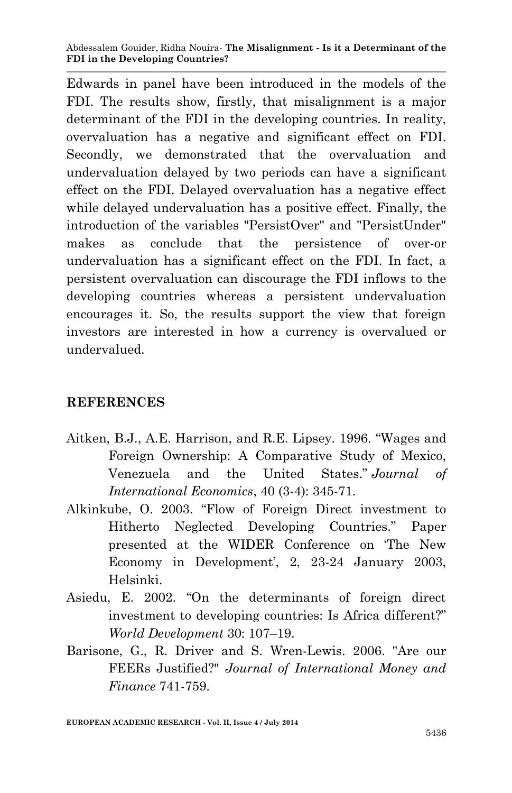Edwards in panel have been introduced in the models of the FDI. The results show, firstly, that misalignment is a major determinant of the FDI in the developing countries. In reality, overvaluation has a negative and significant effect on FDI. Secondly, we demonstrated that the overvaluation and undervaluation delayed by two periods can have a significant effect on the FDI. Delayed overvaluation has a negative effect while delayed undervaluation has a positive effect. Finally, the introduction of the variables "PersistOver" and "PersistUnder" makes as conclude that the persistence of over-or undervaluation has a significant effect on the FDI. In fact, a persistent overvaluation can discourage the FDI inflows to the developing countries whereas a persistent undervaluation encourages it. So, the results support the view that foreign investors are interested in how a currency is overvalued or undervalued.

# **REFERENCES**

- Aitken, B.J., A.E. Harrison, and R.E. Lipsey. 1996. "Wages and Foreign Ownership: A Comparative Study of Mexico, Venezuela and the United States." *Journal of International Economics*, 40 (3-4): 345-71.
- Alkinkube, O. 2003. "Flow of Foreign Direct investment to Hitherto Neglected Developing Countries." Paper presented at the WIDER Conference on 'The New Economy in Development', 2, 23-24 January 2003, Helsinki.
- Asiedu, E. 2002. "On the determinants of foreign direct investment to developing countries: Is Africa different?" *World Development* 30: 107–19.
- Barisone, G., R. Driver and S. Wren-Lewis. 2006. "Are our FEERs Justified?" *Journal of International Money and Finance* 741-759.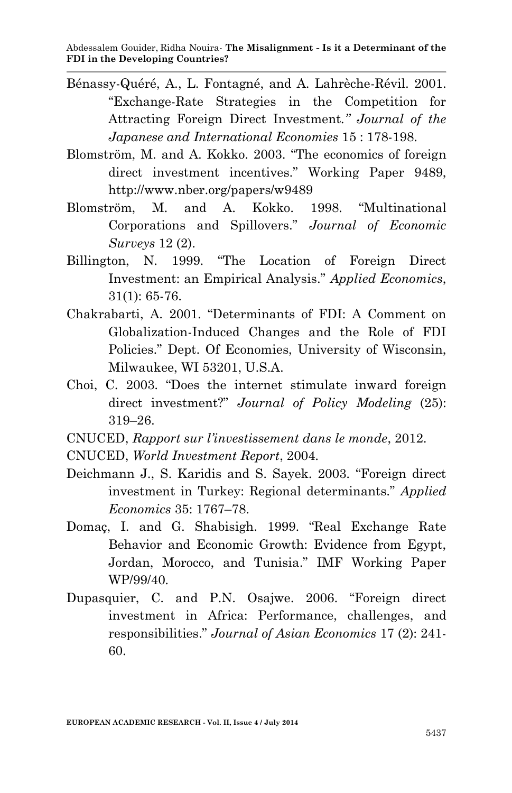- Bénassy-Quéré, A., L. Fontagné, and A. Lahrèche-Révil. 2001. "Exchange-Rate Strategies in the Competition for Attracting Foreign Direct Investment*." Journal of the Japanese and International Economies* 15 : 178-198.
- Blomström, M. and A. Kokko. 2003. "The economics of foreign direct investment incentives." Working Paper 9489, http://www.nber.org/papers/w9489
- Blomström, M. and A. Kokko. 1998. "Multinational Corporations and Spillovers." *Journal of Economic Surveys* 12 (2).
- Billington, N. 1999. "The Location of Foreign Direct Investment: an Empirical Analysis." *Applied Economics*, 31(1): 65-76.
- Chakrabarti, A. 2001. "Determinants of FDI: A Comment on Globalization-Induced Changes and the Role of FDI Policies." Dept. Of Economies, University of Wisconsin, Milwaukee, WI 53201, U.S.A.
- Choi, C. 2003. "Does the internet stimulate inward foreign direct investment?" *Journal of Policy Modeling* (25): 319–26.
- CNUCED, *Rapport sur l'investissement dans le monde*, 2012.
- CNUCED, *World Investment Report*, 2004.
- Deichmann J., S. Karidis and S. Sayek. 2003. "Foreign direct investment in Turkey: Regional determinants." *Applied Economics* 35: 1767–78.
- Domaç, I. and G. Shabisigh. 1999. "Real Exchange Rate Behavior and Economic Growth: Evidence from Egypt, Jordan, Morocco, and Tunisia." IMF Working Paper WP/99/40.
- Dupasquier, C. and P.N. Osajwe. 2006. "Foreign direct investment in Africa: Performance, challenges, and responsibilities." *Journal of Asian Economics* 17 (2): 241- 60.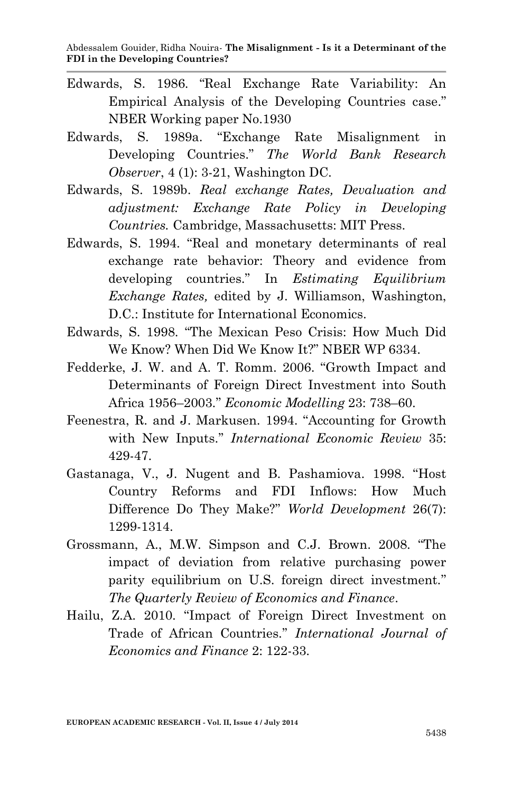- Edwards, S. 1986. "Real Exchange Rate Variability: An Empirical Analysis of the Developing Countries case." NBER Working paper No.1930
- Edwards, S. 1989a. "Exchange Rate Misalignment in Developing Countries." *The World Bank Research Observer*, 4 (1): 3-21, Washington DC.
- Edwards, S. 1989b. *Real exchange Rates, Devaluation and adjustment: Exchange Rate Policy in Developing Countries.* Cambridge, Massachusetts: MIT Press.
- Edwards, S. 1994. ''Real and monetary determinants of real exchange rate behavior: Theory and evidence from developing countries." In *Estimating Equilibrium Exchange Rates,* edited by J. Williamson, Washington, D.C.: Institute for International Economics.
- Edwards, S. 1998. "The Mexican Peso Crisis: How Much Did We Know? When Did We Know It?" NBER WP 6334.
- Fedderke, J. W. and A. T. Romm. 2006. ''Growth Impact and Determinants of Foreign Direct Investment into South Africa 1956–2003.'' *Economic Modelling* 23: 738–60.
- Feenestra, R. and J. Markusen. 1994. "Accounting for Growth with New Inputs.'' *International Economic Review* 35: 429-47.
- Gastanaga, V., J. Nugent and B. Pashamiova. 1998. ''Host Country Reforms and FDI Inflows: How Much Difference Do They Make?'' *World Development* 26(7): 1299-1314.
- Grossmann, A., M.W. Simpson and C.J. Brown. 2008. ''The impact of deviation from relative purchasing power parity equilibrium on U.S. foreign direct investment.'' *The Quarterly Review of Economics and Finance*.
- Hailu, Z.A. 2010. ''Impact of Foreign Direct Investment on Trade of African Countries.'' *International Journal of Economics and Finance* 2: 122-33.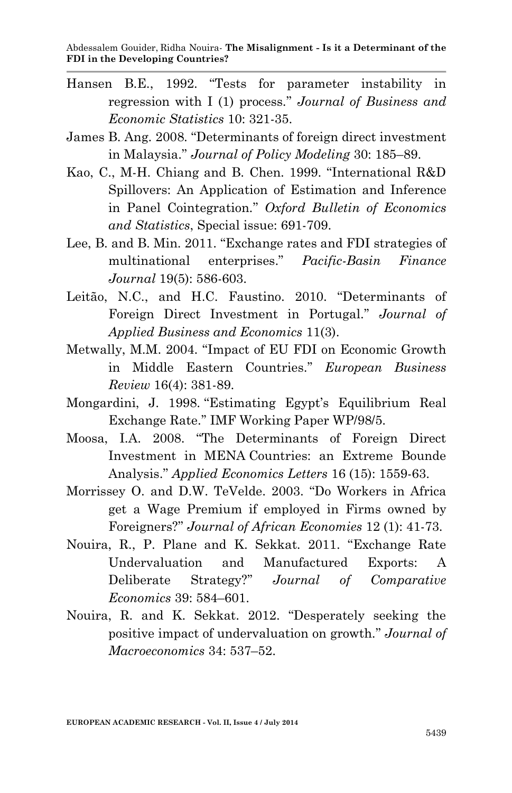- Hansen B.E., 1992. "Tests for parameter instability in regression with I (1) process.'' *Journal of Business and Economic Statistics* 10: 321-35.
- James B. Ang. 2008. ''Determinants of foreign direct investment in Malaysia.'' *Journal of Policy Modeling* 30: 185–89.
- Kao, C., M-H. Chiang and B. Chen. 1999. ''International R&D Spillovers: An Application of Estimation and Inference in Panel Cointegration.'' *Oxford Bulletin of Economics and Statistics*, Special issue: 691-709.
- Lee, B. and B. Min. 2011. "Exchange rates and FDI strategies of multinational enterprises." *Pacific-Basin Finance Journal* 19(5): 586-603.
- Leitão, N.C., and H.C. Faustino. 2010. ''Determinants of Foreign Direct Investment in Portugal.'' *Journal of Applied Business and Economics* 11(3).
- Metwally, M.M. 2004. ''Impact of EU FDI on Economic Growth in Middle Eastern Countries.'' *European Business Review* 16(4): 381-89.
- Mongardini, J. 1998. ''Estimating Egypt's Equilibrium Real Exchange Rate.'' IMF Working Paper WP/98/5.
- Moosa, I.A. 2008. ''The Determinants of Foreign Direct Investment in MENA Countries: an Extreme Bounde Analysis.'' *Applied Economics Letters* 16 (15): 1559-63.
- Morrissey O. and D.W. TeVelde. 2003. ''Do Workers in Africa get a Wage Premium if employed in Firms owned by Foreigners?'' *Journal of African Economies* 12 (1): 41-73.
- Nouira, R., P. Plane and K. Sekkat. 2011. ''Exchange Rate Undervaluation and Manufactured Exports: A Deliberate Strategy?'' *Journal of Comparative Economics* 39: 584–601.
- Nouira, R. and K. Sekkat. 2012. "Desperately seeking the positive impact of undervaluation on growth.'' *Journal of Macroeconomics* 34: 537–52.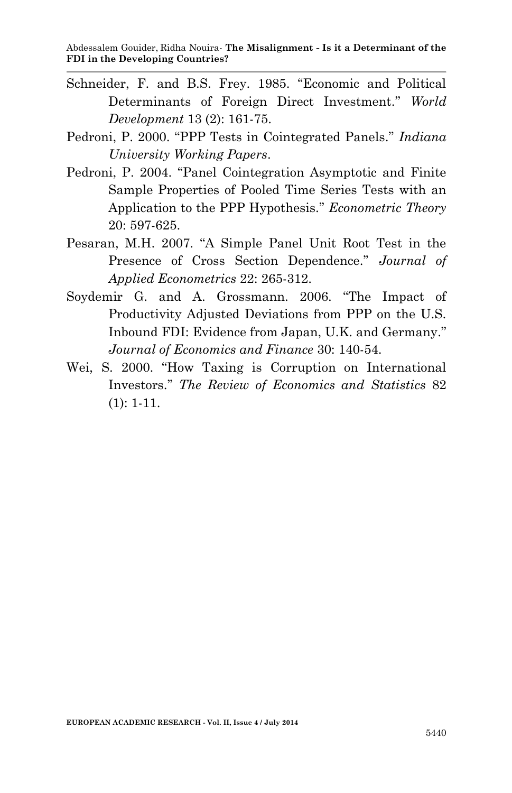- Schneider, F. and B.S. Frey. 1985. "Economic and Political Determinants of Foreign Direct Investment.'' *World Development* 13 (2): 161-75.
- Pedroni, P. 2000. ''PPP Tests in Cointegrated Panels.'' *Indiana University Working Papers*.
- Pedroni, P. 2004. "Panel Cointegration Asymptotic and Finite Sample Properties of Pooled Time Series Tests with an Application to the PPP Hypothesis.'' *Econometric Theory* 20: 597-625.
- Pesaran, M.H. 2007. ''A Simple Panel Unit Root Test in the Presence of Cross Section Dependence.'' *Journal of Applied Econometrics* 22: 265-312.
- Soydemir G. and A. Grossmann. 2006. "The Impact of Productivity Adjusted Deviations from PPP on the U.S. Inbound FDI: Evidence from Japan, U.K. and Germany.'' *Journal of Economics and Finance* 30: 140-54.
- Wei, S. 2000. "How Taxing is Corruption on International Investors.'' *The Review of Economics and Statistics* 82 (1): 1-11.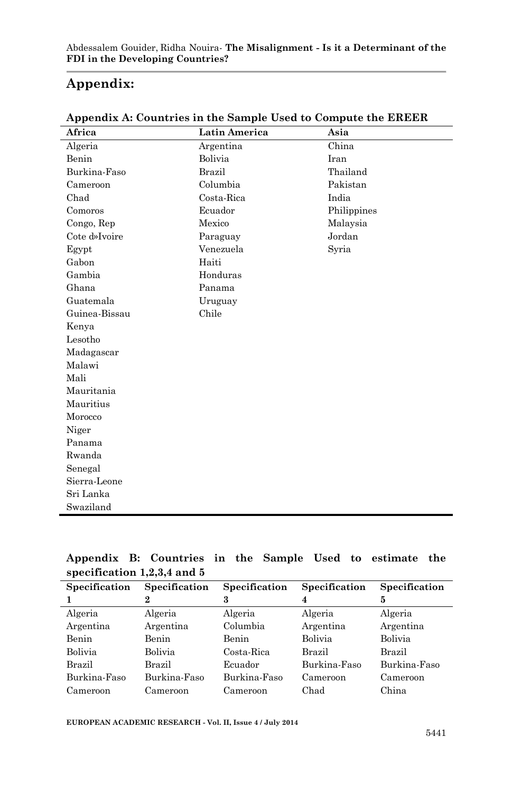## **Appendix:**

| Africa        | Latin America | Asia        |
|---------------|---------------|-------------|
| Algeria       | Argentina     | China       |
| Benin         | Bolivia       | Iran        |
| Burkina-Faso  | Brazil        | Thailand    |
| Cameroon      | Columbia      | Pakistan    |
| Chad          | Costa-Rica    | India       |
| Comoros       | Ecuador       | Philippines |
| Congo, Rep    | Mexico        | Malaysia    |
| Cote d»Ivoire | Paraguay      | Jordan      |
| Egypt         | Venezuela     | Syria       |
| Gabon         | Haiti         |             |
| Gambia        | Honduras      |             |
| Ghana         | Panama        |             |
| Guatemala     | Uruguay       |             |
| Guinea-Bissau | Chile         |             |
| Kenya         |               |             |
| Lesotho       |               |             |
| Madagascar    |               |             |
| Malawi        |               |             |
| Mali          |               |             |
| Mauritania    |               |             |
| Mauritius     |               |             |
| Morocco       |               |             |
| Niger         |               |             |
| Panama        |               |             |
| Rwanda        |               |             |
| Senegal       |               |             |
| Sierra-Leone  |               |             |
| Sri Lanka     |               |             |
| Swaziland     |               |             |

**Appendix A: Countries in the Sample Used to Compute the EREER**

|  | Appendix B: Countries in the Sample Used to estimate the |  |  |  |  |
|--|----------------------------------------------------------|--|--|--|--|
|  | specification $1,2,3,4$ and 5                            |  |  |  |  |

| Specification | Specification | Specification | Specification | Specification |
|---------------|---------------|---------------|---------------|---------------|
|               | 2             | 3             | 4             | 5             |
| Algeria       | Algeria       | Algeria       | Algeria       | Algeria       |
| Argentina     | Argentina     | Columbia      | Argentina     | Argentina     |
| Benin         | Benin         | Benin         | Bolivia       | Bolivia       |
| Bolivia       | Bolivia       | Costa-Rica    | Brazil        | Brazil        |
| Brazil        | Brazil        | Ecuador       | Burkina-Faso  | Burkina-Faso  |
| Burkina-Faso  | Burkina-Faso  | Burkina-Faso  | Cameroon      | Cameroon      |
| Cameroon      | Cameroon      | Cameroon      | Chad          | China         |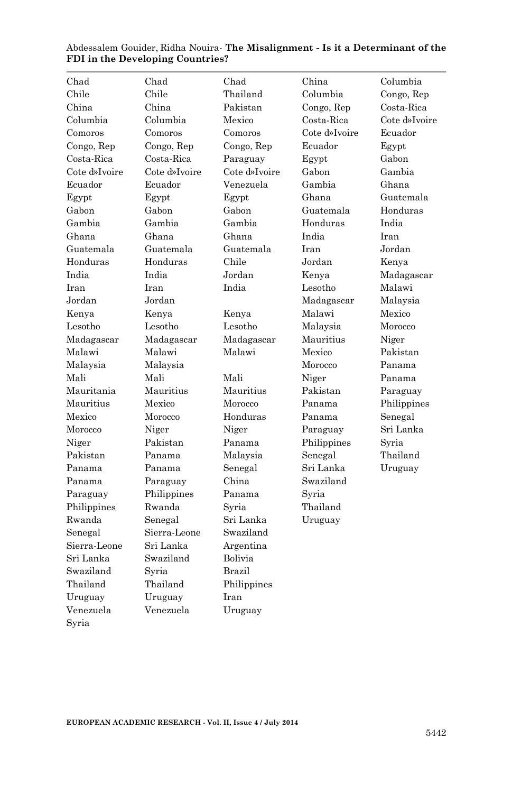| Chad          | Chad          | Chad          | China         | Columbia      |
|---------------|---------------|---------------|---------------|---------------|
| Chile         | Chile         | Thailand      | Columbia      | Congo, Rep    |
| China         | China         | Pakistan      | Congo, Rep    | Costa-Rica    |
| Columbia      | Columbia      | Mexico        | Costa Rica    | Cote d»Ivoire |
| Comoros       | Comoros       | Comoros       | Cote d»Ivoire | Ecuador       |
| Congo, Rep    | Congo, Rep    | Congo, Rep    | Ecuador       | Egypt         |
| Costa Rica    | Costa-Rica    | Paraguay      | Egypt         | Gabon         |
| Cote d»Ivoire | Cote d»Ivoire | Cote d»Ivoire | Gabon         | Gambia        |
| Ecuador       | Ecuador       | Venezuela     | Gambia        | Ghana         |
| Egypt         | Egypt         | Egypt         | Ghana         | Guatemala     |
| Gabon         | Gabon         | Gabon         | Guatemala     | Honduras      |
| Gambia        | Gambia        | Gambia        | Honduras      | India         |
| Ghana         | Ghana         | Ghana         | India         | Iran          |
| Guatemala     | Guatemala     | Guatemala     | Iran          | Jordan        |
| Honduras      | Honduras      | Chile         | Jordan        | Kenya         |
| India         | India         | Jordan        | Kenya         | Madagascar    |
| Iran          | Iran          | India         | Lesotho       | Malawi        |
| Jordan        | Jordan        |               | Madagascar    | Malaysia      |
| Kenya         | Kenva         | Kenya         | Malawi        | Mexico        |
| Lesotho       | Lesotho       | Lesotho       | Malaysia      | Morocco       |
| Madagascar    | Madagascar    | Madagascar    | Mauritius     | Niger         |
| Malawi        | Malawi        | Malawi        | Mexico        | Pakistan      |
| Malaysia      | Malaysia      |               | Morocco       | Panama        |
| Mali          | Mali          | Mali          | Niger         | Panama        |
| Mauritania    | Mauritius     | Mauritius     | Pakistan      | Paraguay      |
| Mauritius     | Mexico        | Morocco       | Panama        | Philippines   |
| Mexico        | Morocco       | Honduras      | Panama        | Senegal       |
| Morocco       | Niger         | Niger         | Paraguay      | Sri Lanka     |
| Niger         | Pakistan      | Panama        | Philippines   | Syria         |
| Pakistan      | Panama        | Malaysia      | Senegal       | Thailand      |
| Panama        | Panama        | Senegal       | Sri Lanka     | Uruguay       |
| Panama        | Paraguay      | China         | Swaziland     |               |
| Paraguay      | Philippines   | Panama        | Syria         |               |
| Philippines   | Rwanda        | Svria         | Thailand      |               |
| Rwanda        | Senegal       | Sri Lanka     | Uruguay       |               |
| Senegal       | Sierra-Leone  | Swaziland     |               |               |
| Sierra-Leone  | Sri Lanka     | Argentina     |               |               |
| Sri Lanka     | Swaziland     | Bolivia       |               |               |
| Swaziland     | Syria         | Brazil        |               |               |
| Thailand      | Thailand      | Philippines   |               |               |
| Uruguay       | Uruguay       | Iran          |               |               |
| Venezuela     | Venezuela     | Uruguay       |               |               |
| Syria         |               |               |               |               |